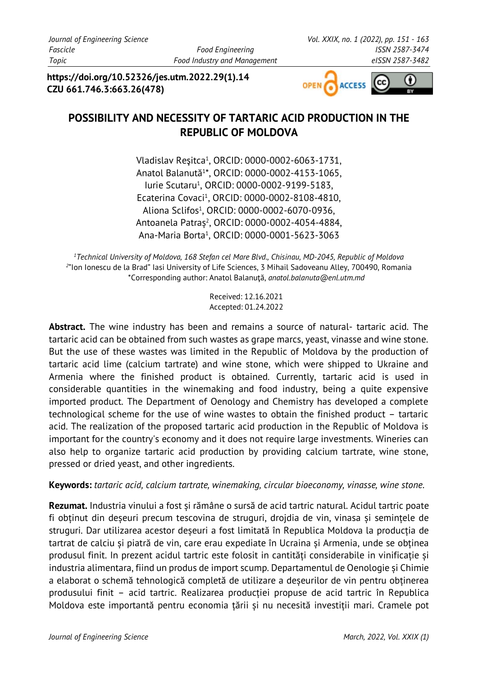**https://doi.org/10.52326/jes.utm.2022.29(1).14 CZU 661.746.3:663.26(478)**



# **POSSIBILITY AND NECESSITY OF TARTARIC ACID PRODUCTION IN THE REPUBLIC OF MOLDOVA**

Vladislav Reşitca<sup>1</sup> , ORCID: 0000-0002-6063[-1731,](https://orcid.org/0000-0002-6063-1731) Anatol Balanută<sup>1</sup> \*, ORCID: 0000-0002-4153-1065, Iurie Scutaru1 , ORCID: 0000-0002-9199-5183, Ecaterina Covaci1, ORCID: 0000-0002-8108-4810, Aliona Sclifos1 , ORCID: 0000-0002-6070-0936, Antoanela Patraș<sup>2</sup> , ORCID: 0000-0002-4054[-4884,](https://orcid.org/0000-0002-4054-4884) Ana-Maria Borta1 , ORCID: 0000-0001-5623-3063

*1 Technical University of Moldova, 168 Stefan cel Mare Blvd., Chisinau, MD-2045, Republic of Moldova 2* "Ion Ionescu de la Brad" Iasi University of Life Sciences, 3 Mihail Sadoveanu Alley, 700490, Romania \*Corresponding author: Anatol Balanuţă, *[anatol.balanuta@enl.utm.md](mailto:anatol.balanuta@enl.utm.md)*

> Received: 12.16.2021 Accepted: 01.24.2022

**Abstract.** The wine industry has been and remains a source of natural- tartaric acid. The tartaric acid can be obtained from such wastes as grape marcs, yeast, vinasse and wine stone. But the use of these wastes was limited in the Republic of Moldova by the production of tartaric acid lime (calcium tartrate) and wine stone, which were shipped to Ukraine and Armenia where the finished product is obtained. Currently, tartaric acid is used in considerable quantities in the winemaking and food industry, being a quite expensive imported product. The Department of Oenology and Chemistry has developed a complete technological scheme for the use of wine wastes to obtain the finished product – tartaric acid. The realization of the proposed tartaric acid production in the Republic of Moldova is important for the country's economy and it does not require large investments. Wineries can also help to organize tartaric acid production by providing calcium tartrate, wine stone, pressed or dried yeast, and other ingredients.

**Keywords:** *tartaric acid, calcium tartrate, winemaking, circular bioeconomy, vinasse, wine stone.* 

**Rezumat.** Industria vinului a fost și rămâne o sursă de acid tartric natural. Acidul tartric poate fi obținut din deșeuri precum tescovina de struguri, drojdia de vin, vinasa și semințele de struguri. Dar utilizarea acestor deșeuri a fost limitată în Republica Moldova la producția de tartrat de calciu și piatră de vin, care erau expediate în Ucraina și Armenia, unde se obținea produsul finit. In prezent acidul tartric este folosit in cantități considerabile in vinificație și industria alimentara, fiind un produs de import scump. Departamentul de Oenologie și Chimie a elaborat o schemă tehnologică completă de utilizare a deșeurilor de vin pentru obținerea produsului finit – acid tartric. Realizarea producției propuse de acid tartric în Republica Moldova este importantă pentru economia țării și nu necesită investiții mari. Cramele pot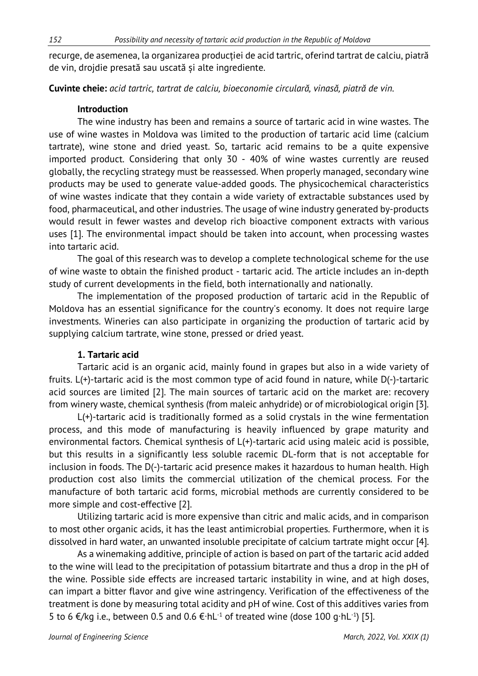recurge, de asemenea, la organizarea producției de acid tartric, oferind tartrat de calciu, piatră de vin, drojdie presată sau uscată și alte ingrediente.

**Cuvinte cheie:** *acid tartric, tartrat de calciu, bioeconomie circulară, vinasă, piatră de vin.*

#### **Introduction**

The wine industry has been and remains a source of tartaric acid in wine wastes. The use of wine wastes in Moldova was limited to the production of tartaric acid lime (calcium tartrate), wine stone and dried yeast. So, tartaric acid remains to be a quite expensive imported product. Considering that only 30 - 40% of wine wastes currently are reused globally, the recycling strategy must be reassessed. When properly managed, secondary wine products may be used to generate value-added goods. The physicochemical characteristics of wine wastes indicate that they contain a wide variety of extractable substances used by food, pharmaceutical, and other industries. The usage of wine industry generated by-products would result in fewer wastes and develop rich bioactive component extracts with various uses [1]. The environmental impact should be taken into account, when processing wastes into tartaric acid.

The goal of this research was to develop a complete technological scheme for the use of wine waste to obtain the finished product - tartaric acid. The article includes an in-depth study of current developments in the field, both internationally and nationally.

The implementation of the proposed production of tartaric acid in the Republic of Moldova has an essential significance for the country's economy. It does not require large investments. Wineries can also participate in organizing the production of tartaric acid by supplying calcium tartrate, wine stone, pressed or dried yeast.

#### **1. Tartaric acid**

Tartaric acid is an organic acid, mainly found in grapes but also in a wide variety of fruits. L(+)-tartaric acid is the most common type of acid found in nature, while D(-)-tartaric acid sources are limited [2]. The main sources of tartaric acid on the market are: recovery from winery waste, chemical synthesis (from maleic anhydride) or of microbiological origin [3].

L(+)-tartaric acid is traditionally formed as a solid crystals in the wine fermentation process, and this mode of manufacturing is heavily influenced by grape maturity and environmental factors. Chemical synthesis of L(+)-tartaric acid using maleic acid is possible, but this results in a significantly less soluble racemic DL-form that is not acceptable for inclusion in foods. The D(-)-tartaric acid presence makes it hazardous to human health. High production cost also limits the commercial utilization of the chemical process. For the manufacture of both tartaric acid forms, microbial methods are currently considered to be more simple and cost-effective [2].

Utilizing tartaric acid is more expensive than citric and malic acids, and in comparison to most other organic acids, it has the least antimicrobial properties. Furthermore, when it is dissolved in hard water, an unwanted insoluble precipitate of calcium tartrate might occur [4].

As a winemaking additive, principle of action is based on part of the tartaric acid added to the wine will lead to the precipitation of potassium bitartrate and thus a drop in the pH of the wine. Possible side effects are increased tartaric instability in wine, and at high doses, can impart a bitter flavor and give wine astringency. Verification of the effectiveness of the treatment is done by measuring total acidity and pH of wine. Cost of this additives varies from 5 to 6 €/kg i.e., between 0.5 and 0.6 €∙hL-1 of treated wine (dose 100 g∙hL-1 ) [5].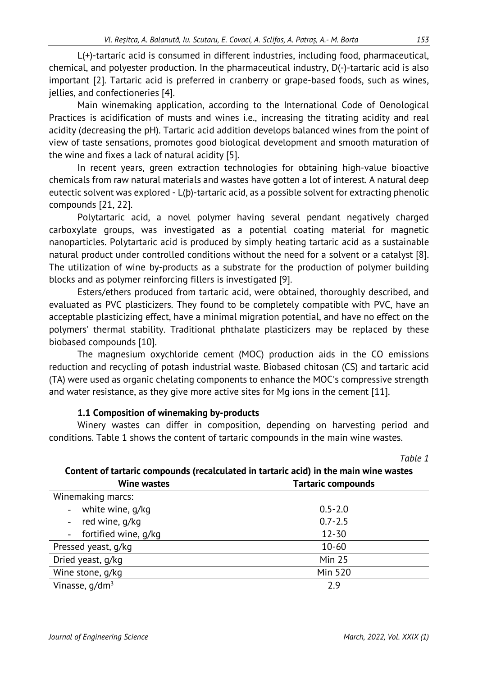L(+)-tartaric acid is consumed in different industries, including food, pharmaceutical, chemical, and polyester production. In the pharmaceutical industry, D(-)-tartaric acid is also important [2]. Tartaric acid is preferred in cranberry or grape-based foods, such as wines, jellies, and confectioneries [4].

Main winemaking application, according to the International Code of Oenological Practices is acidification of musts and wines i.e., increasing the titrating acidity and real acidity (decreasing the pH). Tartaric acid addition develops balanced wines from the point of view of taste sensations, promotes good biological development and smooth maturation of the wine and fixes a lack of natural acidity [5].

In recent years, green extraction technologies for obtaining high-value bioactive chemicals from raw natural materials and wastes have gotten a lot of interest. A natural deep eutectic solvent was explored - L(þ)-tartaric acid, as a possible solvent for extracting phenolic compounds [21, 22].

Polytartaric acid, a novel polymer having several pendant negatively charged carboxylate groups, was investigated as a potential coating material for magnetic nanoparticles. Polytartaric acid is produced by simply heating tartaric acid as a sustainable natural product under controlled conditions without the need for a solvent or a catalyst [8]. The utilization of wine by-products as a substrate for the production of polymer building blocks and as polymer reinforcing fillers is investigated [9].

Esters/ethers produced from tartaric acid, were obtained, thoroughly described, and evaluated as PVC plasticizers. They found to be completely compatible with PVC, have an acceptable plasticizing effect, have a minimal migration potential, and have no effect on the polymers' thermal stability. Traditional phthalate plasticizers may be replaced by these biobased compounds [10].

The magnesium oxychloride cement (MOC) production aids in the CO emissions reduction and recycling of potash industrial waste. Biobased chitosan (CS) and tartaric acid (TA) were used as organic chelating components to enhance the MOC's compressive strength and water resistance, as they give more active sites for Mg ions in the cement [11].

#### **1.1 Composition of winemaking by-products**

Winery wastes can differ in composition, depending on harvesting period and conditions. Table 1 shows the content of tartaric compounds in the main wine wastes.

|                                                                                       | Table 1                   |  |  |  |
|---------------------------------------------------------------------------------------|---------------------------|--|--|--|
| Content of tartaric compounds (recalculated in tartaric acid) in the main wine wastes |                           |  |  |  |
| <b>Wine wastes</b>                                                                    | <b>Tartaric compounds</b> |  |  |  |
| Winemaking marcs:                                                                     |                           |  |  |  |
| white wine, g/kg                                                                      | $0.5 - 2.0$               |  |  |  |
| red wine, g/kg                                                                        | $0.7 - 2.5$               |  |  |  |
| fortified wine, g/kg                                                                  | $12 - 30$                 |  |  |  |
| Pressed yeast, g/kg                                                                   | $10 - 60$                 |  |  |  |
| Dried yeast, g/kg                                                                     | <b>Min 25</b>             |  |  |  |
| Wine stone, g/kg                                                                      | <b>Min 520</b>            |  |  |  |
| Vinasse, $q/dm^3$                                                                     | 2.9                       |  |  |  |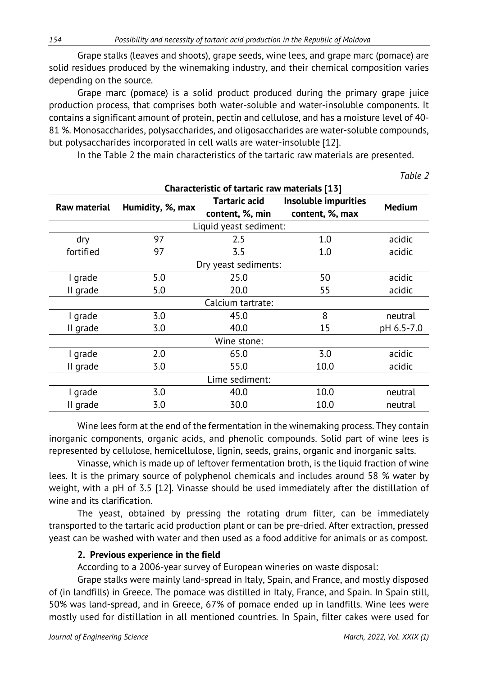Grape stalks (leaves and shoots), grape seeds, wine lees, and grape marc (pomace) are solid residues produced by the winemaking industry, and their chemical composition varies depending on the source.

Grape marc (pomace) is a solid product produced during the primary grape juice production process, that comprises both water-soluble and water-insoluble components. It contains a significant amount of protein, pectin and cellulose, and has a moisture level of 40- 81 %. Monosaccharides, polysaccharides, and oligosaccharides are water-soluble compounds, but polysaccharides incorporated in cell walls are water-insoluble [12].

In the Table 2 the main characteristics of the tartaric raw materials are presented.

| Characteristic of tartaric raw materials [13] |                  |                                  |                                         |               |
|-----------------------------------------------|------------------|----------------------------------|-----------------------------------------|---------------|
| <b>Raw material</b>                           | Humidity, %, max | Tartaric acid<br>content, %, min | Insoluble impurities<br>content, %, max | <b>Medium</b> |
| Liquid yeast sediment:                        |                  |                                  |                                         |               |
| dry                                           | 97               | 2.5                              | 1.0                                     | acidic        |
| fortified                                     | 97               | 3.5                              | 1.0                                     | acidic        |
| Dry yeast sediments:                          |                  |                                  |                                         |               |
| I grade                                       | 5.0              | 25.0                             | 50                                      | acidic        |
| II grade                                      | 5.0              | 20.0                             | 55                                      | acidic        |
| Calcium tartrate:                             |                  |                                  |                                         |               |
| I grade                                       | 3.0              | 45.0                             | 8                                       | neutral       |
| II grade                                      | 3.0              | 40.0                             | 15                                      | pH 6.5-7.0    |
| Wine stone:                                   |                  |                                  |                                         |               |
| I grade                                       | 2.0              | 65.0                             | 3.0                                     | acidic        |
| II grade                                      | 3.0              | 55.0                             | 10.0                                    | acidic        |
| Lime sediment:                                |                  |                                  |                                         |               |
| I grade                                       | 3.0              | 40.0                             | 10.0                                    | neutral       |
| II grade                                      | 3.0              | 30.0                             | 10.0                                    | neutral       |

Wine lees form at the end of the fermentation in the winemaking process. They contain inorganic components, organic acids, and phenolic compounds. Solid part of wine lees is represented by cellulose, hemicellulose, lignin, seeds, grains, organic and inorganic salts.

Vinasse, which is made up of leftover fermentation broth, is the liquid fraction of wine lees. It is the primary source of polyphenol chemicals and includes around 58 % water by weight, with a pH of 3.5 [12]. Vinasse should be used immediately after the distillation of wine and its clarification.

The yeast, obtained by pressing the rotating drum filter, can be immediately transported to the tartaric acid production plant or can be pre-dried. After extraction, pressed yeast can be washed with water and then used as a food additive for animals or as compost.

#### **2. Previous experience in the field**

According to a 2006-year survey of European wineries on waste disposal:

Grape stalks were mainly land-spread in Italy, Spain, and France, and mostly disposed of (in landfills) in Greece. The pomace was distilled in Italy, France, and Spain. In Spain still, 50% was land-spread, and in Greece, 67% of pomace ended up in landfills. Wine lees were mostly used for distillation in all mentioned countries. In Spain, filter cakes were used for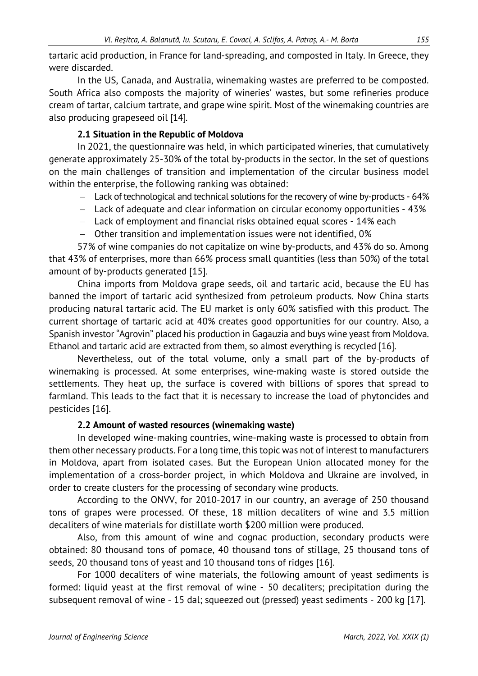tartaric acid production, in France for land-spreading, and composted in Italy. In Greece, they were discarded.

In the US, Canada, and Australia, winemaking wastes are preferred to be composted. South Africa also composts the majority of wineries' wastes, but some refineries produce cream of tartar, calcium tartrate, and grape wine spirit. Most of the winemaking countries are also producing grapeseed oil [14].

# **2.1 Situation in the Republic of Moldova**

In 2021, the questionnaire was held, in which participated wineries, that cumulatively generate approximately 25-30% of the total by-products in the sector. In the set of questions on the main challenges of transition and implementation of the circular business model within the enterprise, the following ranking was obtained:

- − Lack of technological and technical solutions for the recovery of wine by-products 64%
- − Lack of adequate and clear information on circular economy opportunities 43%
- − Lack of employment and financial risks obtained equal scores 14% each
- − Other transition and implementation issues were not identified, 0%

57% of wine companies do not capitalize on wine by-products, and 43% do so. Among that 43% of enterprises, more than 66% process small quantities (less than 50%) of the total amount of by-products generated [15].

China imports from Moldova grape seeds, oil and tartaric acid, because the EU has banned the import of tartaric acid synthesized from petroleum products. Now China starts producing natural tartaric acid. The EU market is only 60% satisfied with this product. The current shortage of tartaric acid at 40% creates good opportunities for our country. Also, a Spanish investor "Agrovin" placed his production in Gagauzia and buys wine yeast from Moldova. Ethanol and tartaric acid are extracted from them, so almost everything is recycled [16].

Nevertheless, out of the total volume, only a small part of the by-products of winemaking is processed. At some enterprises, wine-making waste is stored outside the settlements. They heat up, the surface is covered with billions of spores that spread to farmland. This leads to the fact that it is necessary to increase the load of phytoncides and pesticides [16].

# **2.2 Amount of wasted resources (winemaking waste)**

In developed wine-making countries, wine-making waste is processed to obtain from them other necessary products. For a long time, this topic was not of interest to manufacturers in Moldova, apart from isolated cases. But the European Union allocated money for the implementation of a cross-border project, in which Moldova and Ukraine are involved, in order to create clusters for the processing of secondary wine products.

According to the ONVV, for 2010-2017 in our country, an average of 250 thousand tons of grapes were processed. Of these, 18 million decaliters of wine and 3.5 million decaliters of wine materials for distillate worth \$200 million were produced.

Also, from this amount of wine and cognac production, secondary products were obtained: 80 thousand tons of pomace, 40 thousand tons of stillage, 25 thousand tons of seeds, 20 thousand tons of yeast and 10 thousand tons of ridges [16].

For 1000 decaliters of wine materials, the following amount of yeast sediments is formed: liquid yeast at the first removal of wine - 50 decaliters; precipitation during the subsequent removal of wine - 15 dal; squeezed out (pressed) yeast sediments - 200 kg [17].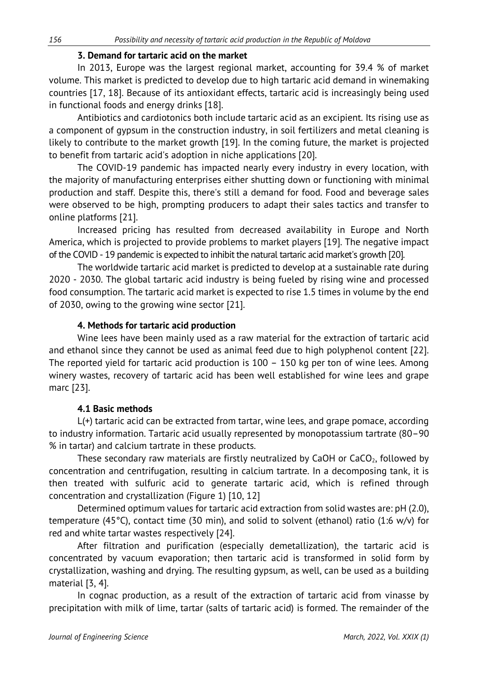#### **3. Demand for tartaric acid on the market**

In 2013, Europe was the largest regional market, accounting for 39.4 % of market volume. This market is predicted to develop due to high tartaric acid demand in winemaking countries [17, 18]. Because of its antioxidant effects, tartaric acid is increasingly being used in functional foods and energy drinks [18].

Antibiotics and cardiotonics both include tartaric acid as an excipient. Its rising use as a component of gypsum in the construction industry, in soil fertilizers and metal cleaning is likely to contribute to the market growth [19]. In the coming future, the market is projected to benefit from tartaric acid's adoption in niche applications [20].

The COVID-19 pandemic has impacted nearly every industry in every location, with the majority of manufacturing enterprises either shutting down or functioning with minimal production and staff. Despite this, there's still a demand for food. Food and beverage sales were observed to be high, prompting producers to adapt their sales tactics and transfer to online platforms [21].

Increased pricing has resulted from decreased availability in Europe and North America, which is projected to provide problems to market players [19]. The negative impact of the COVID - 19 pandemic is expected to inhibit the natural tartaric acid market's growth [20].

The worldwide tartaric acid market is predicted to develop at a sustainable rate during 2020 - 2030. The global tartaric acid industry is being fueled by rising wine and processed food consumption. The tartaric acid market is expected to rise 1.5 times in volume by the end of 2030, owing to the growing wine sector [21].

#### **4. Methods for tartaric acid production**

Wine lees have been mainly used as a raw material for the extraction of tartaric acid and ethanol since they cannot be used as animal feed due to high polyphenol content [22]. The reported yield for tartaric acid production is 100 – 150 kg per ton of wine lees. Among winery wastes, recovery of tartaric acid has been well established for wine lees and grape marc [23].

#### **4.1 Basic methods**

L(+) tartaric acid can be extracted from tartar, wine lees, and grape pomace, according to industry information. Tartaric acid usually represented by monopotassium tartrate (80–90 % in tartar) and calcium tartrate in these products.

These secondary raw materials are firstly neutralized by CaOH or  $CaCO<sub>2</sub>$ , followed by concentration and centrifugation, resulting in calcium tartrate. In a decomposing tank, it is then treated with sulfuric acid to generate tartaric acid, which is refined through concentration and crystallization (Figure 1) [10, 12]

Determined optimum values for tartaric acid extraction from solid wastes are: pH (2.0), temperature (45°C), contact time (30 min), and solid to solvent (ethanol) ratio (1:6 w/v) for red and white tartar wastes respectively [24].

After filtration and purification (especially demetallization), the tartaric acid is concentrated by vacuum evaporation; then tartaric acid is transformed in solid form by crystallization, washing and drying. The resulting gypsum, as well, can be used as a building material [3, 4].

In cognac production, as a result of the extraction of tartaric acid from vinasse by precipitation with milk of lime, tartar (salts of tartaric acid) is formed. The remainder of the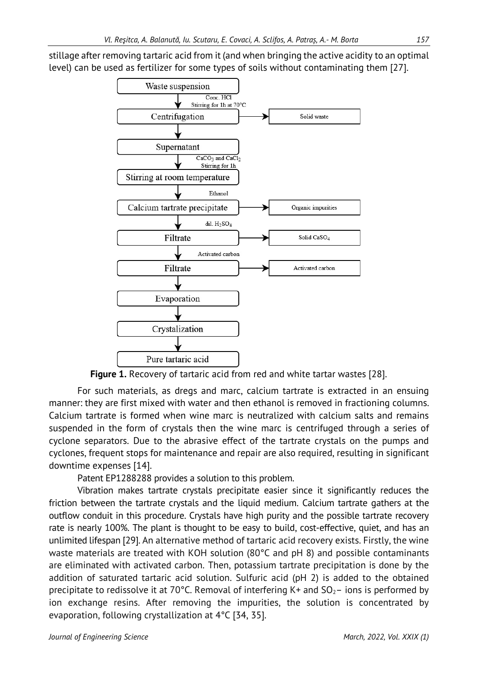stillage after removing tartaric acid from it (and when bringing the active acidity to an optimal level) can be used as fertilizer for some types of soils without contaminating them [27].





For such materials, as dregs and marc, calcium tartrate is extracted in an ensuing manner: they are first mixed with water and then ethanol is removed in fractioning columns. Calcium tartrate is formed when wine marc is neutralized with calcium salts and remains suspended in the form of crystals then the wine marc is centrifuged through a series of cyclone separators. Due to the abrasive effect of the tartrate crystals on the pumps and cyclones, frequent stops for maintenance and repair are also required, resulting in significant downtime expenses [14].

Patent EP1288288 provides a solution to this problem.

Vibration makes tartrate crystals precipitate easier since it significantly reduces the friction between the tartrate crystals and the liquid medium. Calcium tartrate gathers at the outflow conduit in this procedure. Crystals have high purity and the possible tartrate recovery rate is nearly 100%. The plant is thought to be easy to build, cost-effective, quiet, and has an unlimited lifespan [29]. An alternative method of tartaric acid recovery exists. Firstly, the wine waste materials are treated with KOH solution (80°C and pH 8) and possible contaminants are eliminated with activated carbon. Then, potassium tartrate precipitation is done by the addition of saturated tartaric acid solution. Sulfuric acid (pH 2) is added to the obtained precipitate to redissolve it at 70°C. Removal of interfering  $K+$  and  $SO_2-$  ions is performed by ion exchange resins. After removing the impurities, the solution is concentrated by evaporation, following crystallization at 4°C [34, 35].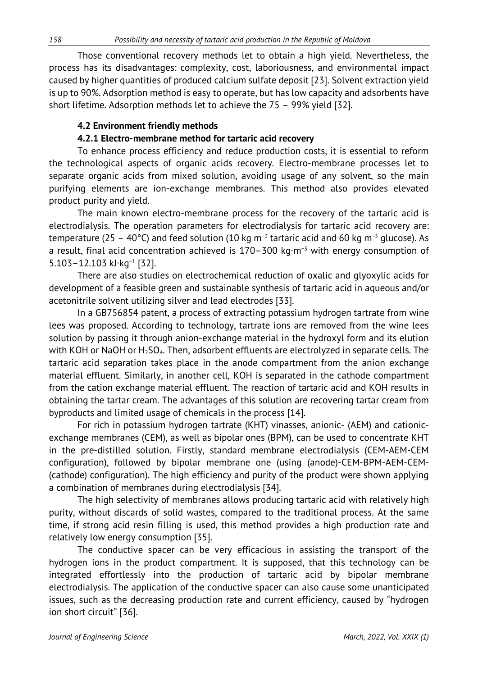Those conventional recovery methods let to obtain a high yield. Nevertheless, the process has its disadvantages: complexity, cost, laboriousness, and environmental impact caused by higher quantities of produced calcium sulfate deposit [23]. Solvent extraction yield is up to 90%. Adsorption method is easy to operate, but has low capacity and adsorbents have short lifetime. Adsorption methods let to achieve the 75 – 99% yield [32].

## **4.2 Environment friendly methods**

## **4.2.1 Electro-membrane method for tartaric acid recovery**

To enhance process efficiency and reduce production costs, it is essential to reform the technological aspects of organic acids recovery. Electro-membrane processes let to separate organic acids from mixed solution, avoiding usage of any solvent, so the main purifying elements are ion-exchange membranes. This method also provides elevated product purity and yield.

The main known electro-membrane process for the recovery of the tartaric acid is electrodialysis. The operation parameters for electrodialysis for tartaric acid recovery are: temperature (25 – 40°C) and feed solution (10 kg m<sup>-3</sup> tartaric acid and 60 kg m<sup>-3</sup> glucose). As a result, final acid concentration achieved is 170–300 kg∙m−3 with energy consumption of 5.103–12.103 kJ∙kg−1 [32].

There are also studies on electrochemical reduction of oxalic and glyoxylic acids for development of a feasible green and sustainable synthesis of tartaric acid in aqueous and/or acetonitrile solvent utilizing silver and lead electrodes [33].

In a GB756854 patent, a process of extracting potassium hydrogen tartrate from wine lees was proposed. According to technology, tartrate ions are removed from the wine lees solution by passing it through anion-exchange material in the hydroxyl form and its elution with KOH or NaOH or  $H<sub>2</sub>SO<sub>4</sub>$ . Then, adsorbent effluents are electrolyzed in separate cells. The tartaric acid separation takes place in the anode compartment from the anion exchange material effluent. Similarly, in another cell, KOH is separated in the cathode compartment from the cation exchange material effluent. The reaction of tartaric acid and KOH results in obtaining the tartar cream. The advantages of this solution are recovering tartar cream from byproducts and limited usage of chemicals in the process [14].

For rich in potassium hydrogen tartrate (KHT) vinasses, anionic- (AEM) and cationicexchange membranes (CEM), as well as bipolar ones (BPM), can be used to concentrate KHT in the pre-distilled solution. Firstly, standard membrane electrodialysis (CEM-AEM-CEM configuration), followed by bipolar membrane one (using (anode)-CEM-BPM-AEM-CEM- (cathode) configuration). The high efficiency and purity of the product were shown applying a combination of membranes during electrodialysis [34].

The high selectivity of membranes allows producing tartaric acid with relatively high purity, without discards of solid wastes, compared to the traditional process. At the same time, if strong acid resin filling is used, this method provides a high production rate and relatively low energy consumption [35].

The conductive spacer can be very efficacious in assisting the transport of the hydrogen ions in the product compartment. It is supposed, that this technology can be integrated effortlessly into the production of tartaric acid by bipolar membrane electrodialysis. The application of the conductive spacer can also cause some unanticipated issues, such as the decreasing production rate and current efficiency, caused by "hydrogen ion short circuit" [36].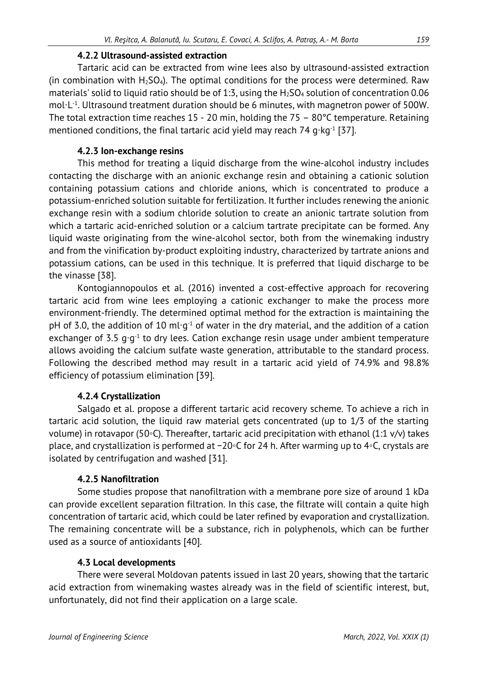#### **4.2.2 Ultrasound-assisted extraction**

Tartaric acid can be extracted from wine lees also by ultrasound-assisted extraction (in combination with  $H_2SO_4$ ). The optimal conditions for the process were determined. Raw materials' solid to liquid ratio should be of 1:3, using the  $H_2SO_4$  solution of concentration 0.06 mol∙L-1. Ultrasound treatment duration should be 6 minutes, with magnetron power of 500W. The total extraction time reaches 15 - 20 min, holding the 75 – 80°C temperature. Retaining mentioned conditions, the final tartaric acid yield may reach 74 g∙kg<sup>-1</sup> [37].

# **4.2.3 Ion-exchange resins**

This method for treating a liquid discharge from the wine-alcohol industry includes contacting the discharge with an anionic exchange resin and obtaining a cationic solution containing potassium cations and chloride anions, which is concentrated to produce a potassium-enriched solution suitable for fertilization. It further includes renewing the anionic exchange resin with a sodium chloride solution to create an anionic tartrate solution from which a tartaric acid-enriched solution or a calcium tartrate precipitate can be formed. Any liquid waste originating from the wine-alcohol sector, both from the winemaking industry and from the vinification by-product exploiting industry, characterized by tartrate anions and potassium cations, can be used in this technique. It is preferred that liquid discharge to be the vinasse [38].

Kontogiannopoulos et al. (2016) invented a cost-effective approach for recovering tartaric acid from wine lees employing a cationic exchanger to make the process more environment-friendly. The determined optimal method for the extraction is maintaining the pH of 3.0, the addition of 10 ml⋅g<sup>-1</sup> of water in the dry material, and the addition of a cation exchanger of 3.5 g⋅g⋅1 to dry lees. Cation exchange resin usage under ambient temperature allows avoiding the calcium sulfate waste generation, attributable to the standard process. Following the described method may result in a tartaric acid yield of 74.9% and 98.8% efficiency of potassium elimination [39].

#### **4.2.4 Crystallization**

Salgado et al. propose a different tartaric acid recovery scheme. To achieve a rich in tartaric acid solution, the liquid raw material gets concentrated (up to 1/3 of the starting volume) in rotavapor (50◦C). Thereafter, tartaric acid precipitation with ethanol (1:1 v/v) takes place, and crystallization is performed at −20◦C for 24 h. After warming up to 4◦C, crystals are isolated by centrifugation and washed [31].

#### **4.2.5 Nanofiltration**

Some studies propose that nanofiltration with a membrane pore size of around 1 kDa can provide excellent separation filtration. In this case, the filtrate will contain a quite high concentration of tartaric acid, which could be later refined by evaporation and crystallization. The remaining concentrate will be a substance, rich in polyphenols, which can be further used as a source of antioxidants [40].

#### **4.3 Local developments**

There were several Moldovan patents issued in last 20 years, showing that the tartaric acid extraction from winemaking wastes already was in the field of scientific interest, but, unfortunately, did not find their application on a large scale.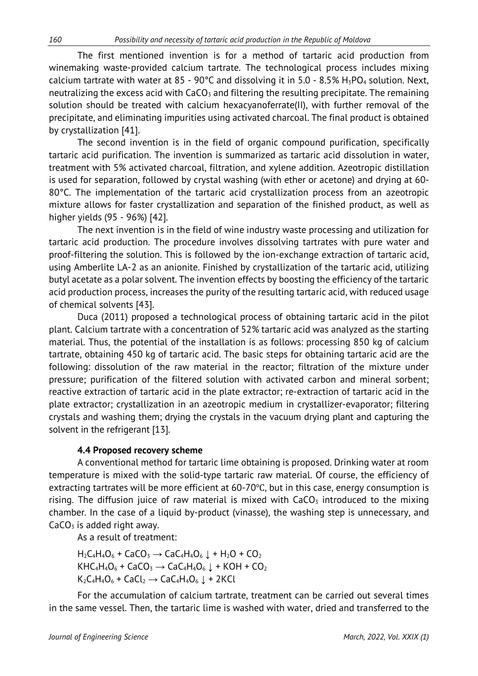The first mentioned invention is for a method of tartaric acid production from winemaking waste-provided calcium tartrate. The technological process includes mixing calcium tartrate with water at 85 - 90°C and dissolving it in 5.0 - 8.5%  $H_3PO_4$  solution. Next, neutralizing the excess acid with  $CaCO<sub>3</sub>$  and filtering the resulting precipitate. The remaining solution should be treated with calcium hexacyanoferrate(II), with further removal of the precipitate, and eliminating impurities using activated charcoal. The final product is obtained by crystallization [41].

The second invention is in the field of organic compound purification, specifically tartaric acid purification. The invention is summarized as tartaric acid dissolution in water, treatment with 5% activated charcoal, filtration, and xylene addition. Azeotropic distillation is used for separation, followed by crystal washing (with ether or acetone) and drying at 60- 80°C. The implementation of the tartaric acid crystallization process from an azeotropic mixture allows for faster crystallization and separation of the finished product, as well as higher yields (95 - 96%) [42].

The next invention is in the field of wine industry waste processing and utilization for tartaric acid production. The procedure involves dissolving tartrates with pure water and proof-filtering the solution. This is followed by the ion-exchange extraction of tartaric acid, using Amberlite LA-2 as an anionite. Finished by crystallization of the tartaric acid, utilizing butyl acetate as a polar solvent. The invention effects by boosting the efficiency of the tartaric acid production process, increases the purity of the resulting tartaric acid, with reduced usage of chemical solvents [43].

Duca (2011) proposed a technological process of obtaining tartaric acid in the pilot plant. Calcium tartrate with a concentration of 52% tartaric acid was analyzed as the starting material. Thus, the potential of the installation is as follows: processing 850 kg of calcium tartrate, obtaining 450 kg of tartaric acid. The basic steps for obtaining tartaric acid are the following: dissolution of the raw material in the reactor; filtration of the mixture under pressure; purification of the filtered solution with activated carbon and mineral sorbent; reactive extraction of tartaric acid in the plate extractor; re-extraction of tartaric acid in the plate extractor; crystallization in an azeotropic medium in crystallizer-evaporator; filtering crystals and washing them; drying the crystals in the vacuum drying plant and capturing the solvent in the refrigerant [13].

#### **4.4 Proposed recovery scheme**

A conventional method for tartaric lime obtaining is proposed. Drinking water at room temperature is mixed with the solid-type tartaric raw material. Of course, the efficiency of extracting tartrates will be more efficient at 60-70℃, but in this case, energy consumption is rising. The diffusion juice of raw material is mixed with  $CaCO<sub>3</sub>$  introduced to the mixing chamber. In the case of a liquid by-product (vinasse), the washing step is unnecessary, and  $CaCO<sub>3</sub>$  is added right away.

As a result of treatment:

 $H_2C_4H_4O_6 + CaCO_3 \rightarrow CaC_4H_4O_6 \downarrow + H_2O + CO_2$  $KHC_4H_4O_6 + CaCO_3 \rightarrow CaC_4H_4O_6 \downarrow + KOH + CO_2$  $K_2C_4H_4O_6 + CaCl_2 \rightarrow CaC_4H_4O_6 + 2KCl$ 

For the accumulation of calcium tartrate, treatment can be carried out several times in the same vessel. Then, the tartaric lime is washed with water, dried and transferred to the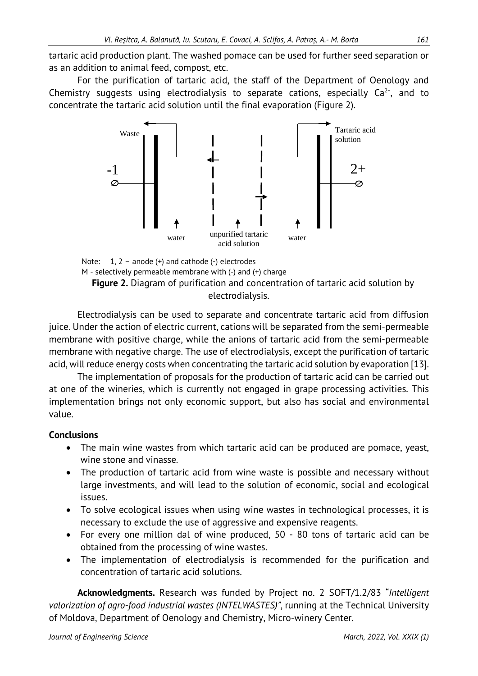tartaric acid production plant. The washed pomace can be used for further seed separation or as an addition to animal feed, compost, etc.

For the purification of tartaric acid, the staff of the Department of Oenology and Chemistry suggests using electrodialysis to separate cations, especially  $Ca^{2+}$ , and to concentrate the tartaric acid solution until the final evaporation (Figure 2).



Note: 1, 2 – anode (+) and cathode (-) electrodes M - selectively permeable membrane with (-) and (+) charge **Figure 2.** Diagram of purification and concentration of tartaric acid solution by electrodialysis.

Electrodialysis can be used to separate and concentrate tartaric acid from diffusion juice. Under the action of electric current, cations will be separated from the semi-permeable membrane with positive charge, while the anions of tartaric acid from the semi-permeable membrane with negative charge. The use of electrodialysis, except the purification of tartaric acid, will reduce energy costs when concentrating the tartaric acid solution by evaporation [13].

The implementation of proposals for the production of tartaric acid can be carried out at one of the wineries, which is currently not engaged in grape processing activities. This implementation brings not only economic support, but also has social and environmental value.

#### **Conclusions**

- The main wine wastes from which tartaric acid can be produced are pomace, yeast, wine stone and vinasse.
- The production of tartaric acid from wine waste is possible and necessary without large investments, and will lead to the solution of economic, social and ecological issues.
- To solve ecological issues when using wine wastes in technological processes, it is necessary to exclude the use of aggressive and expensive reagents.
- For every one million dal of wine produced, 50 80 tons of tartaric acid can be obtained from the processing of wine wastes.
- The implementation of electrodialysis is recommended for the purification and concentration of tartaric acid solutions.

**Acknowledgments.** Research was funded by Project no. 2 SOFT/1.2/83 "*Intelligent valorization of agro-food industrial wastes (INTELWASTES)"*, running at the Technical University of Moldova, Department of Oenology and Chemistry, Micro-winery Center.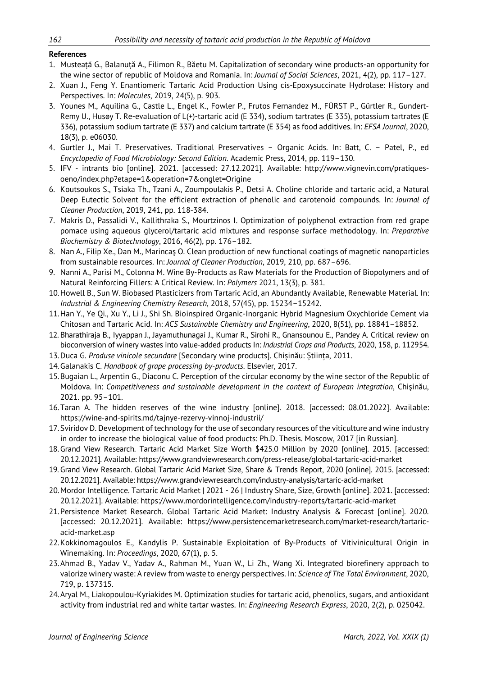#### **References**

- 1. Musteață G., Balanuță A., Filimon R., Băetu M. Capitalization of secondary wine products-an opportunity for the wine sector of republic of Moldova and Romania. In: *Journal of Social Sciences*, 2021, 4(2), pp. 117–127.
- 2. Xuan J., Feng Y. Enantiomeric Tartaric Acid Production Using cis-Epoxysuccinate Hydrolase: History and Perspectives. In: *Molecules*, 2019, 24(5), p. 903.
- 3. Younes M., Aquilina G., Castle L., Engel K., Fowler P., Frutos Fernandez M., FÜRST P., Gürtler R., Gundert-Remy U., Husøy T. Re-evaluation of L(+)-tartaric acid (E 334), sodium tartrates (E 335), potassium tartrates (E 336), potassium sodium tartrate (E 337) and calcium tartrate (E 354) as food additives. In: *EFSA Journal*, 2020, 18(3), p. e06030.
- 4. Gurtler J., Mai T. Preservatives. Traditional Preservatives Organic Acids. In: Batt, C. Patel, P., ed *Encyclopedia of Food Microbiology: Second Edition*. Academic Press, 2014, pp. 119–130.
- 5. IFV intrants bio [online]. 2021. [accessed: 27.12.2021]. Available: http://www.vignevin.com/pratiquesoeno/index.php?etape=1&operation=7&onglet=Origine
- 6. Koutsoukos S., Tsiaka Th., Tzani A., Zoumpoulakis P., Detsi A. Choline chloride and tartaric acid, a Natural Deep Eutectic Solvent for the efficient extraction of phenolic and carotenoid compounds. In: *Journal of Cleaner Production*, 2019, 241, pp. 118-384.
- 7. Makris D., Passalidi V., Kallithraka S., Mourtzinos I. Optimization of polyphenol extraction from red grape pomace using aqueous glycerol/tartaric acid mixtures and response surface methodology. In: *Preparative Biochemistry & Biotechnology*, 2016, 46(2), pp. 176–182.
- 8. Nan A., Filip Xe., Dan M., Marincaş O. Clean production of new functional coatings of magnetic nanoparticles from sustainable resources. In: *Journal of Cleaner Production*, 2019, 210, pp. 687–696.
- 9. Nanni A., Parisi M., Colonna M. Wine By-Products as Raw Materials for the Production of Biopolymers and of Natural Reinforcing Fillers: A Critical Review. In: *Polymers* 2021, 13(3), p. 381.
- 10.Howell B., Sun W. Biobased Plasticizers from Tartaric Acid, an Abundantly Available, Renewable Material. In: *Industrial & Engineering Chemistry Research*, 2018, 57(45), pp. 15234–15242.
- 11.Han Y., Ye Qi., Xu Y., Li J., Shi Sh. Bioinspired Organic-Inorganic Hybrid Magnesium Oxychloride Cement via Chitosan and Tartaric Acid. In: *ACS Sustainable Chemistry and Engineering*, 2020, 8(51), pp. 18841–18852.
- 12. Bharathiraja B., Iyyappan J., Jayamuthunagai J., Kumar R., Sirohi R., Gnansounou E., Pandey A. Critical review on bioconversion of winery wastes into value-added products In: *Industrial Crops and Products*, 2020, 158, p. 112954.
- 13.Duca G. *Produse vinicole secundare* [Secondary wine products]. Chișinău: Știința, 2011.
- 14.Galanakis C. *Handbook of grape processing by-products*. Elsevier, 2017.
- 15.Bugaian L., Arpentin G., Diaconu C. Perception of the circular economy by the wine sector of the Republic of Moldova. In: *Competitiveness and sustainable development in the context of European integration*, Chişinău, 2021. pp. 95–101.
- 16.Taran A. The hidden reserves of the wine industry [online]. 2018. [accessed: 08.01.2022]. Available: https://wine-and-spirits.md/tajnye-rezervy-vinnoj-industrii/
- 17.Sviridov D. Development of technology for the use of secondary resources of the viticulture and wine industry in order to increase the biological value of food products: Ph.D. Thesis. Moscow, 2017 [in Russian].
- 18.Grand View Research. Tartaric Acid Market Size Worth \$425.0 Million by 2020 [online]. 2015. [accessed: 20.12.2021]. Available: https://www.grandviewresearch.com/press-release/global-tartaric-acid-market
- 19. Grand View Research. Global Tartaric Acid Market Size, Share & Trends Report, 2020 [online]. 2015. [accessed: 20.12.2021]. Available: https://www.grandviewresearch.com/industry-analysis/tartaric-acid-market
- 20.Mordor Intelligence. Tartaric Acid Market | 2021 26 | Industry Share, Size, Growth [online]. 2021. [accessed: 20.12.2021]. Available: https://www.mordorintelligence.com/industry-reports/tartaric-acid-market
- 21.Persistence Market Research. Global Tartaric Acid Market: Industry Analysis & Forecast [online]. 2020. [accessed: 20.12.2021]. Available: https://www.persistencemarketresearch.com/market-research/tartaricacid-market.asp
- 22.Kokkinomagoulos E., Kandylis P. Sustainable Exploitation of By-Products of Vitivinicultural Origin in Winemaking. In: *Proceedings*, 2020, 67(1), p. 5.
- 23.Ahmad B., Yadav V., Yadav A., Rahman M., Yuan W., Li Zh., Wang Xi. Integrated biorefinery approach to valorize winery waste: A review from waste to energy perspectives. In: *Science of The Total Environment*, 2020, 719, p. 137315.
- 24.Aryal M., Liakopoulou-Kyriakides M. Optimization studies for tartaric acid, phenolics, sugars, and antioxidant activity from industrial red and white tartar wastes. In: *Engineering Research Express*, 2020, 2(2), p. 025042.